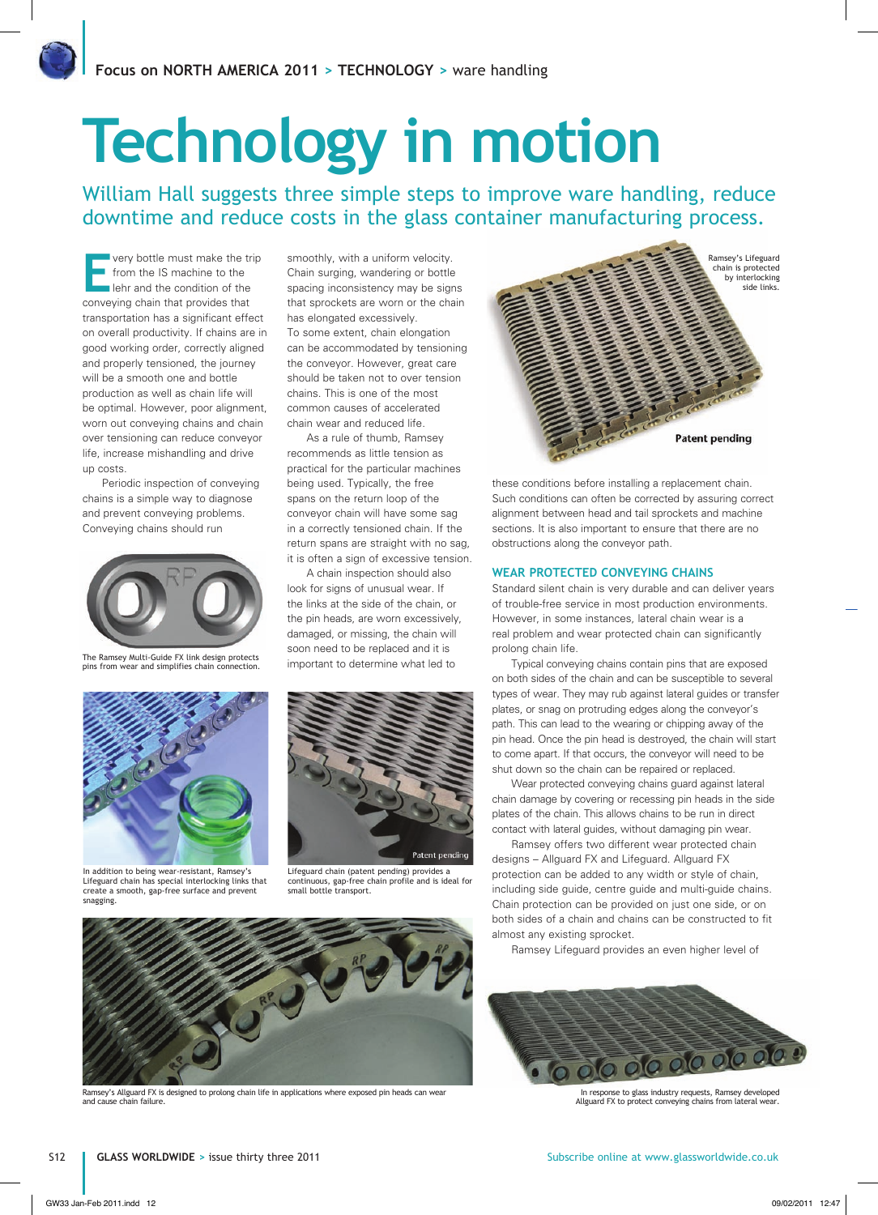# **Technology in motion**

William Hall suggests three simple steps to improve ware handling, reduce downtime and reduce costs in the glass container manufacturing process.

**Every bottle must make the trip**<br> **E** from the IS machine to the<br> **Expression** the condition of the<br> **EXPRESSION** from the IS machine to the conveying chain that provides that transportation has a significant effect on overall productivity. If chains are in good working order, correctly aligned and properly tensioned, the journey will be a smooth one and bottle production as well as chain life will be optimal. However, poor alignment, worn out conveying chains and chain over tensioning can reduce conveyor life, increase mishandling and drive up costs.

Periodic inspection of conveying chains is a simple way to diagnose and prevent conveying problems. Conveying chains should run



The Ramsey Multi-Guide FX link design protects pins from wear and simplifies chain connection.



In addition to being wear-resistant, Ramsey's Lifeguard chain has special interlocking links that create a smooth, gap-free surface and prevent snaggii

smoothly, with a uniform velocity. Chain surging, wandering or bottle spacing inconsistency may be signs that sprockets are worn or the chain has elongated excessively. To some extent, chain elongation can be accommodated by tensioning the conveyor. However, great care should be taken not to over tension chains. This is one of the most common causes of accelerated chain wear and reduced life.

As a rule of thumb, Ramsey recommends as little tension as practical for the particular machines being used. Typically, the free spans on the return loop of the conveyor chain will have some sag in a correctly tensioned chain. If the return spans are straight with no sag, it is often a sign of excessive tension.

A chain inspection should also look for signs of unusual wear. If the links at the side of the chain, or the pin heads, are worn excessively, damaged, or missing, the chain will soon need to be replaced and it is important to determine what led to



Lifeguard chain (patent pending) provides a continuous, gap-free chain profile and is ideal for small bottle transport.



Ramsey's Allguard FX is designed to prolong chain life in applications where exposed pin heads can wear and cause chain failure.



these conditions before installing a replacement chain. Such conditions can often be corrected by assuring correct alignment between head and tail sprockets and machine sections. It is also important to ensure that there are no obstructions along the conveyor path.

## **WEAR PROTECTED CONVEYING CHAINS**

Standard silent chain is very durable and can deliver years of trouble-free service in most production environments. However, in some instances, lateral chain wear is a real problem and wear protected chain can significantly prolong chain life.

Typical conveying chains contain pins that are exposed on both sides of the chain and can be susceptible to several types of wear. They may rub against lateral guides or transfer plates, or snag on protruding edges along the conveyor's path. This can lead to the wearing or chipping away of the pin head. Once the pin head is destroyed, the chain will start to come apart. If that occurs, the conveyor will need to be shut down so the chain can be repaired or replaced.

Wear protected conveying chains guard against lateral chain damage by covering or recessing pin heads in the side plates of the chain. This allows chains to be run in direct contact with lateral guides, without damaging pin wear.

Ramsey offers two different wear protected chain designs – Allguard FX and Lifeguard. Allguard FX protection can be added to any width or style of chain, including side guide, centre guide and multi-guide chains. Chain protection can be provided on just one side, or on both sides of a chain and chains can be constructed to fit almost any existing sprocket.

Ramsey Lifeguard provides an even higher level of



In response to glass industry requests, Ramsey developed Allguard FX to protect conveying chains from lateral wear.